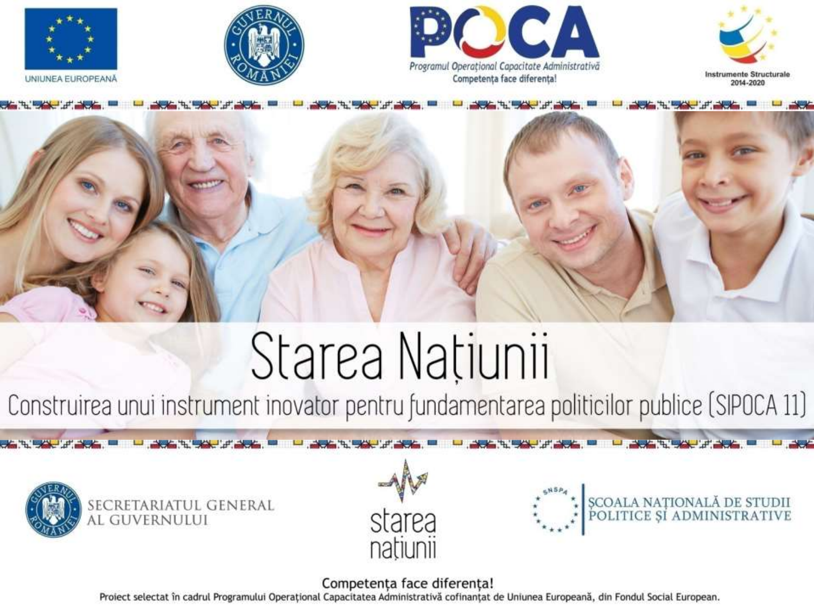









# Starea Națiunii

Construirea unui instrument inovator pentru fundamentarea politicilor publice (SIPOCA 11)

**ALCOHOL: UNITED** 







#### Competența face diferența!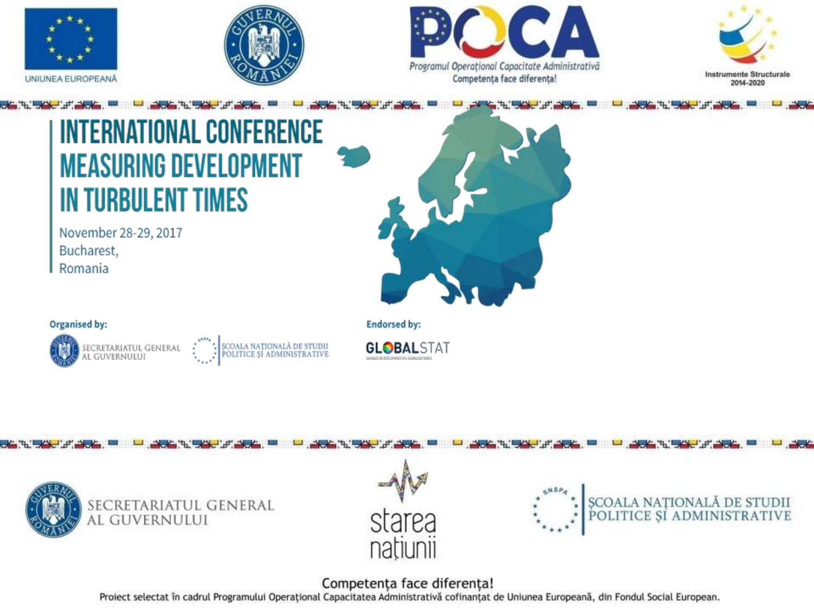







## **FERNATIONAL CONFERENCE MEASURING DEVELOPMENT IN TURBULENT TIMES**

November 28-29, 2017 Bucharest, Romania



#### Organised by:











#### Competența face diferența!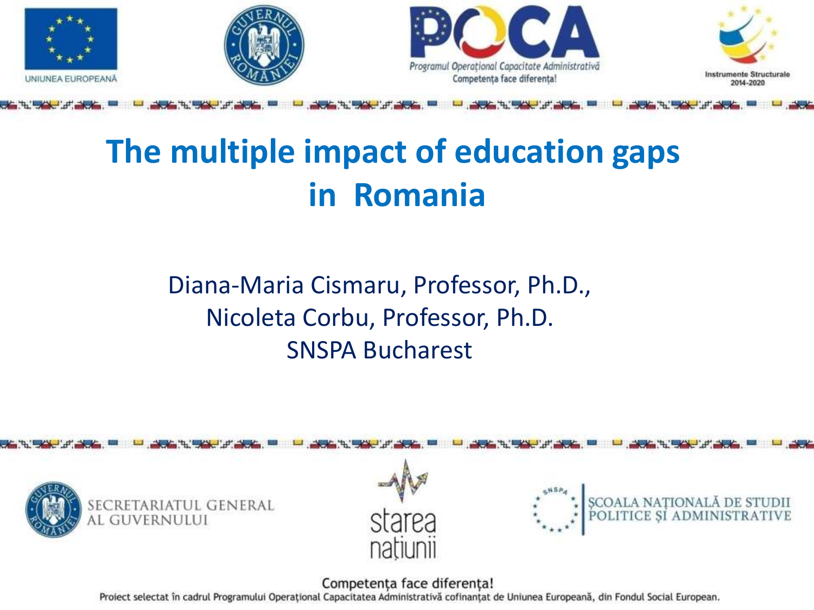

## **The multiple impact of education gaps in Romania**

## Diana-Maria Cismaru, Professor, Ph.D., Nicoleta Corbu, Professor, Ph.D. SNSPA Bucharest

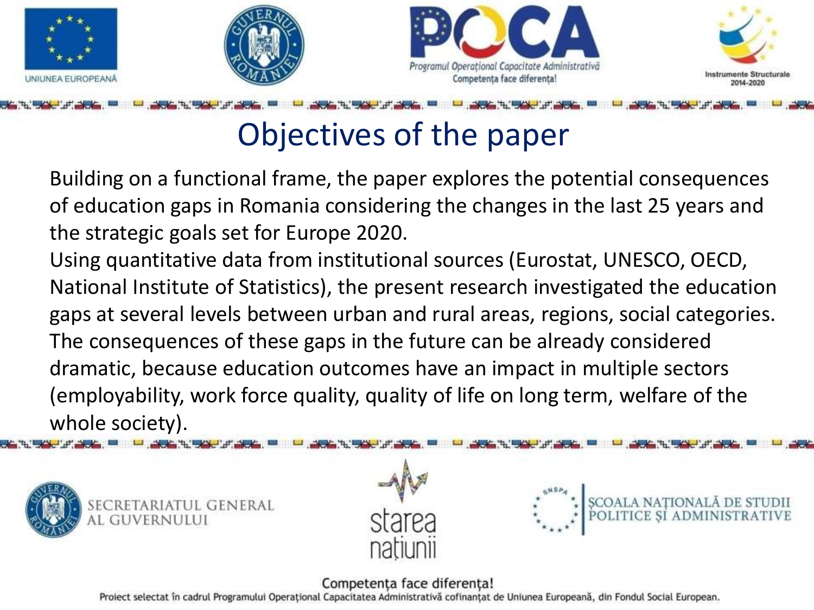







## Objectives of the paper

Building on a functional frame, the paper explores the potential consequences of education gaps in Romania considering the changes in the last 25 years and the strategic goals set for Europe 2020.

Using quantitative data from institutional sources (Eurostat, UNESCO, OECD, National Institute of Statistics), the present research investigated the education gaps at several levels between urban and rural areas, regions, social categories. The consequences of these gaps in the future can be already considered dramatic, because education outcomes have an impact in multiple sectors (employability, work force quality, quality of life on long term, welfare of the whole society).





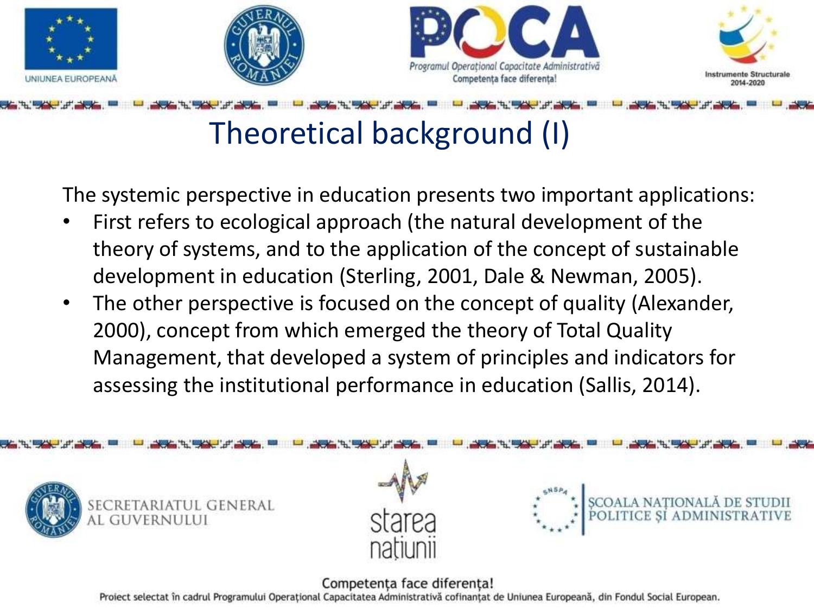







## Theoretical background (I)

The systemic perspective in education presents two important applications:

- First refers to ecological approach (the natural development of the theory of systems, and to the application of the concept of sustainable development in education (Sterling, 2001, Dale & Newman, 2005).
- The other perspective is focused on the concept of quality (Alexander, 2000), concept from which emerged the theory of Total Quality Management, that developed a system of principles and indicators for assessing the institutional performance in education (Sallis, 2014).





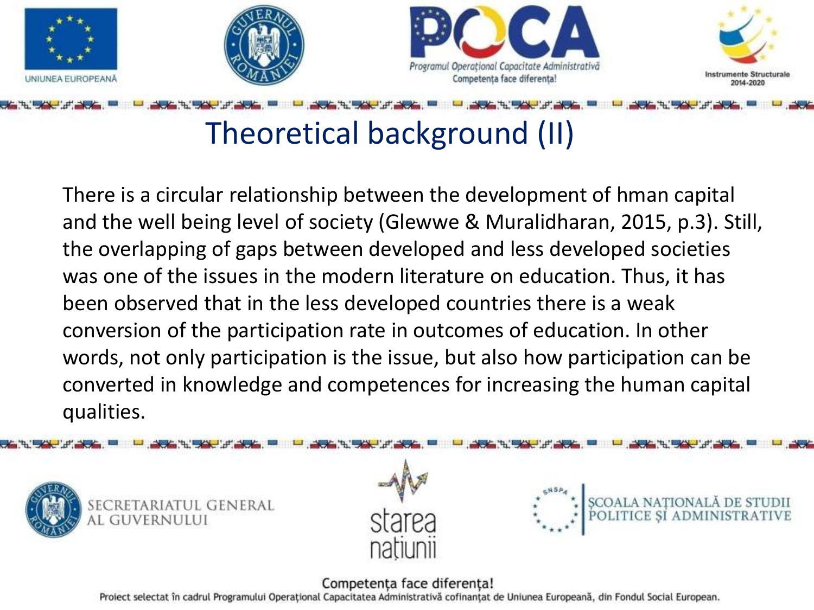







## Theoretical background (II)

There is a circular relationship between the development of hman capital and the well being level of society (Glewwe & Muralidharan, 2015, p.3). Still, the overlapping of gaps between developed and less developed societies was one of the issues in the modern literature on education. Thus, it has been observed that in the less developed countries there is a weak conversion of the participation rate in outcomes of education. In other words, not only participation is the issue, but also how participation can be converted in knowledge and competences for increasing the human capital qualities.





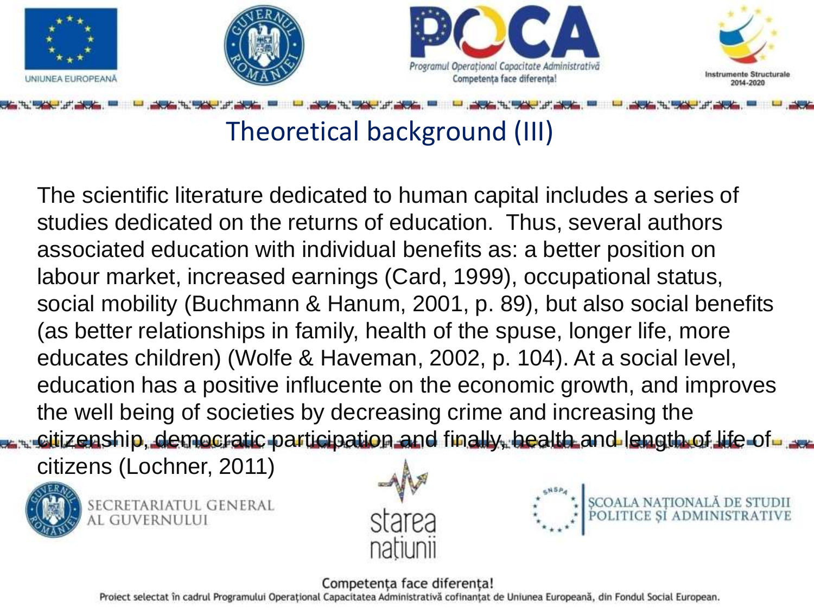







## Theoretical background (III)

The scientific literature dedicated to human capital includes a series of studies dedicated on the returns of education. Thus, several authors associated education with individual benefits as: a better position on labour market, increased earnings (Card, 1999), occupational status, social mobility (Buchmann & Hanum, 2001, p. 89), but also social benefits (as better relationships in family, health of the spuse, longer life, more educates children) (Wolfe & Haveman, 2002, p. 104). At a social level, education has a positive influcente on the economic growth, and improves the well being of societies by decreasing crime and increasing the citizenship, democratic participation and finally, health and length of life of

citizens (Lochner, 2011)



SECRETARIATUL GENERAL AL GUVERNULUI





#### Competenta face diferenta!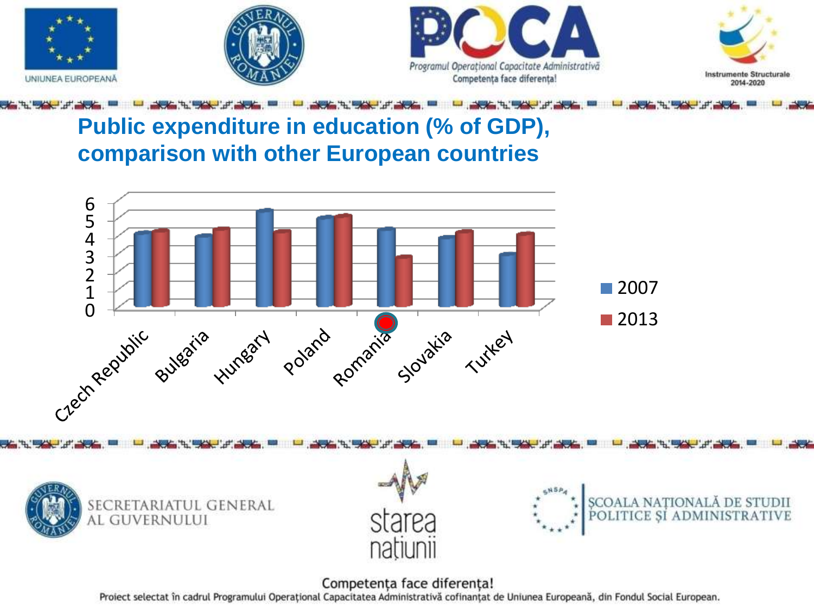

### **Public expenditure in education (% of GDP), comparison with other European countries**









#### Competența face diferența!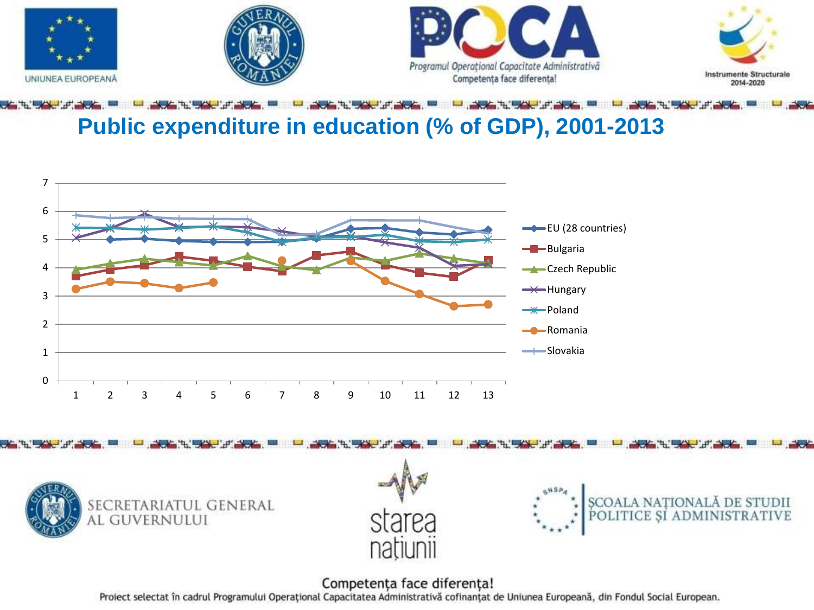



## **Public expenditure in education (% of GDP), 2001-2013**









#### Competența face diferența!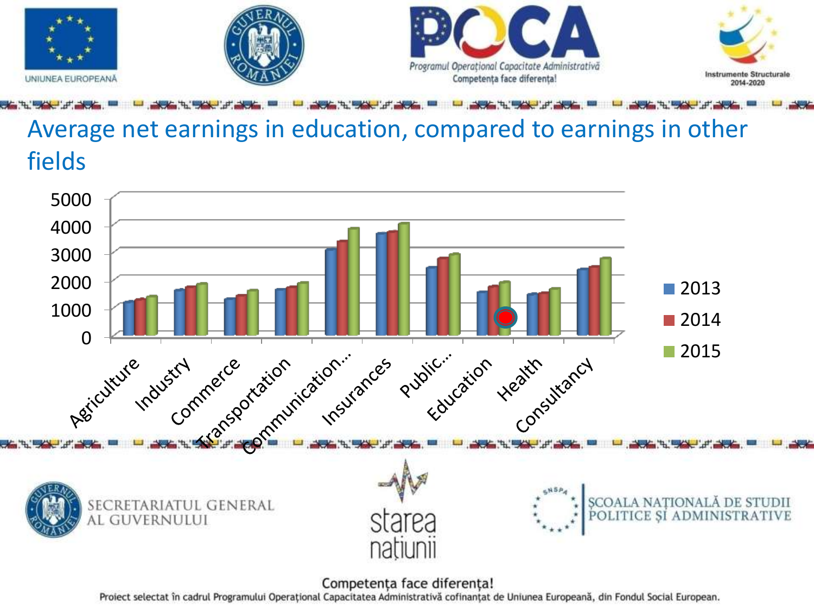

## Average net earnings in education, compared to earnings in other fields



Competența face diferența!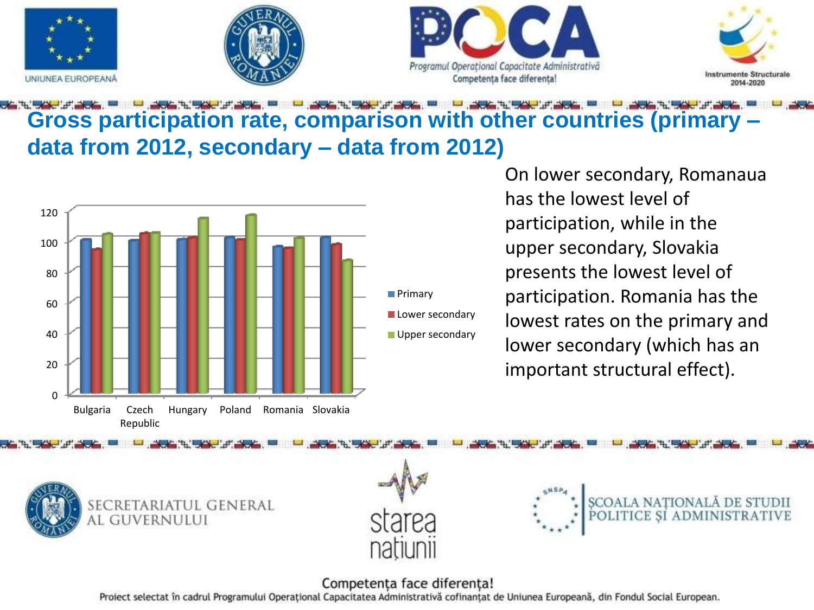







### **Gross participation rate, comparison with other countries (primary – data from 2012, secondary – data from 2012)**



On lower secondary, Romanaua has the lowest level of participation, while in the upper secondary, Slovakia presents the lowest level of participation. Romania has the lowest rates on the primary and lower secondary (which has an important structural effect).







#### Competența face diferența!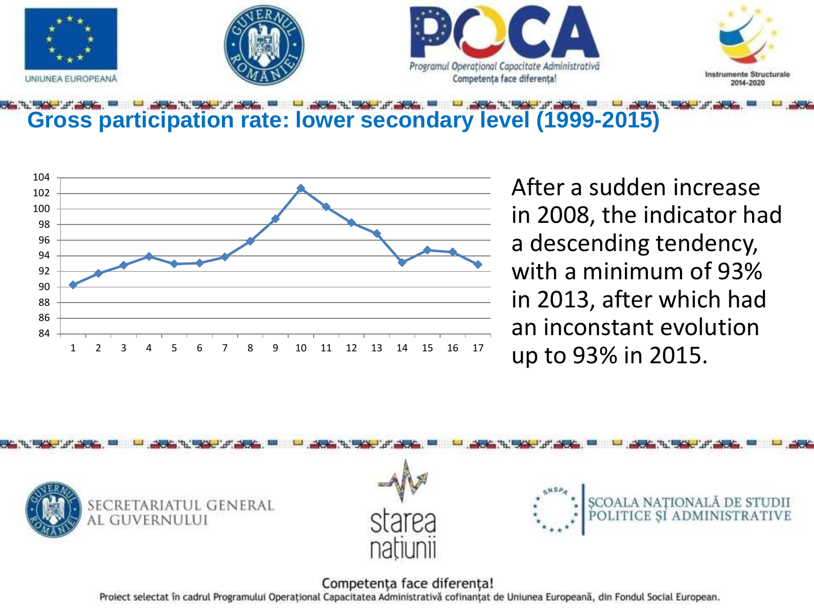

### **Gross participation rate: lower secondary level (1999-2015)**



After a sudden increase in 2008, the indicator had a descending tendency, with a minimum of 93% in 2013, after which had an inconstant evolution up to 93% in 2015.



#### Competența face diferența!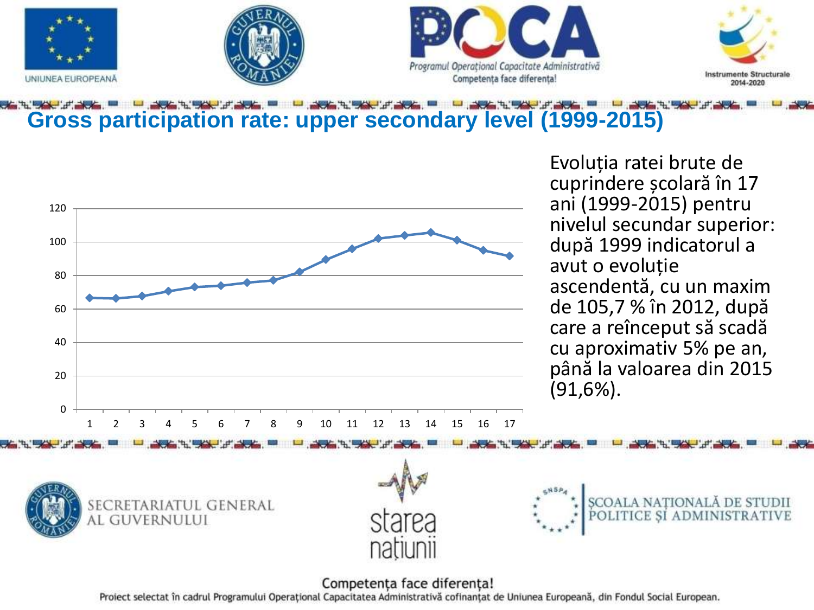







### **Gross participation rate: upper secondary level (1999-2015)**



Evoluția ratei brute de cuprindere școlară în 17 ani (1999-2015) pentru nivelul secundar superior: după 1999 indicatorul a avut o evoluție ascendentă, cu un maxim de 105,7 % în 2012, după care a reînceput să scadă cu aproximativ 5% pe an, până la valoarea din 2015 (91,6%).







#### Competența face diferența!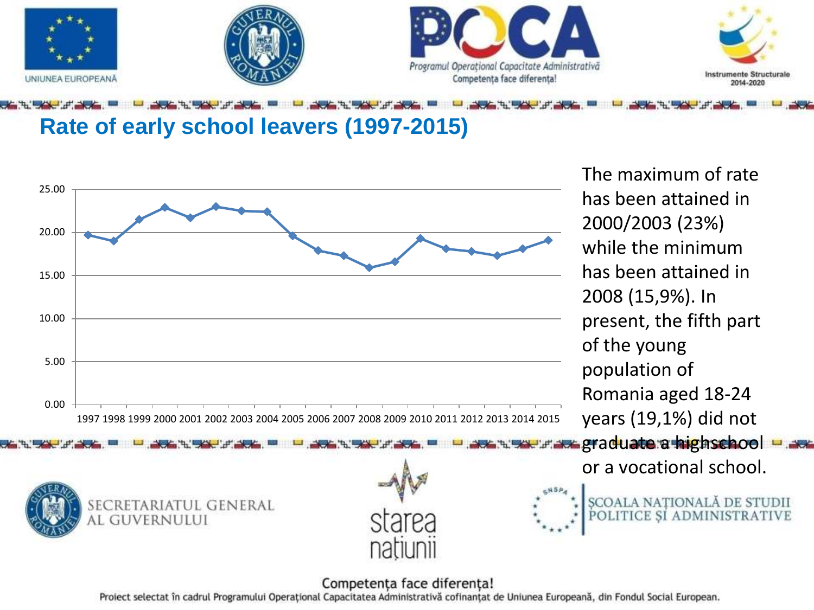

### **Rate of early school leavers (1997-2015)**



The maximum of rate has been attained in 2000/2003 (23%) while the minimum has been attained in 2008 (15,9%). In present, the fifth part of the young population of Romania aged 18-24 years (19,1%) did not **xx graduate a highschool** 

or a vocational school.



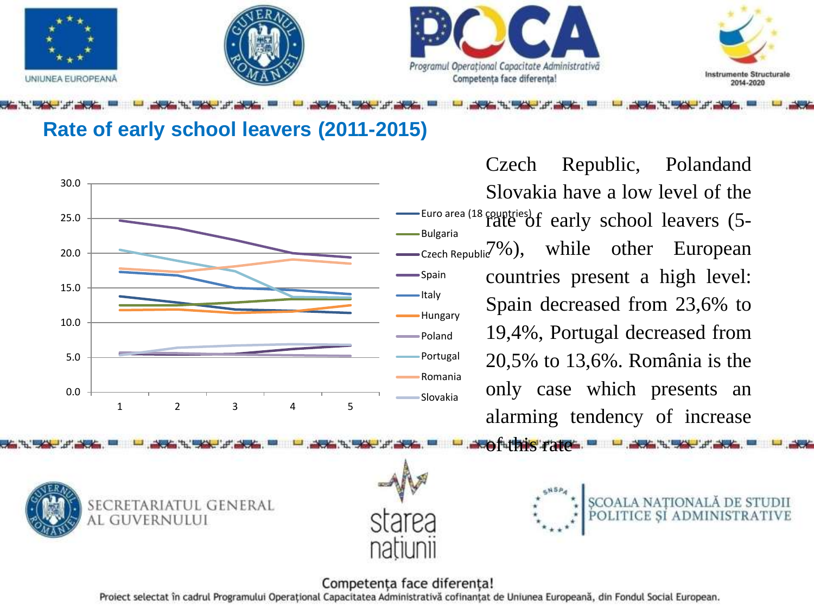







Euro area (18 countries) rate of early school leavers (5- Bulgaria  $C<sub>zech Republi</sub>$ <sup>7</sup>%), while other European Hungary Portugal Romania Slovakia Czech Republic, Polandand Slovakia have a low level of the countries present a high level: Spain decreased from 23,6% to 19,4%, Portugal decreased from 20,5% to 13,6%. România is the only case which presents an alarming tendency of increase

Coful this rate.



UNIUNEA EUROPEANA





#### Competența face diferența!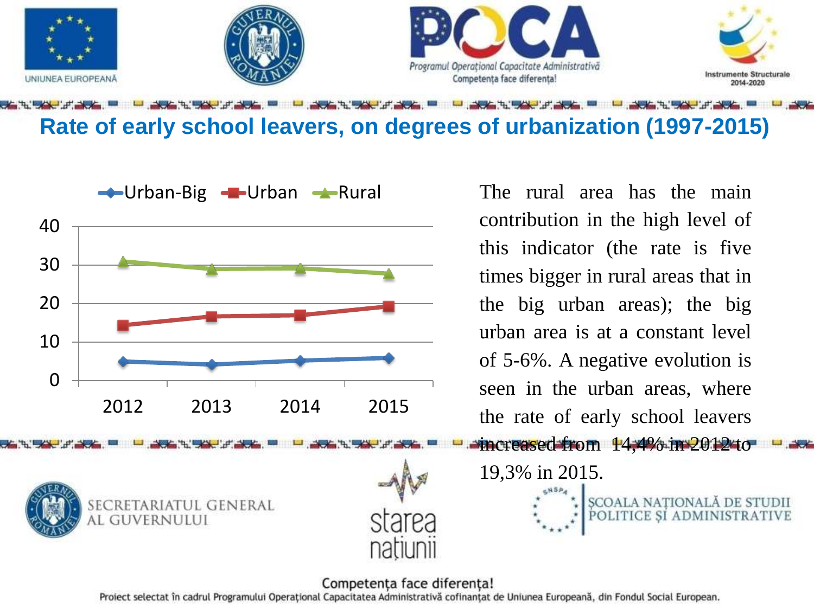

**Rate of early school leavers, on degrees of urbanization (1997-2015)** 



contribution in the high level of this indicator (the rate is five times bigger in rural areas that in the big urban areas); the big urban area is at a constant level of 5-6%. A negative evolution is seen in the urban areas, where the rate of early school leavers

19,3% in 2015.

#### Competența face diferența!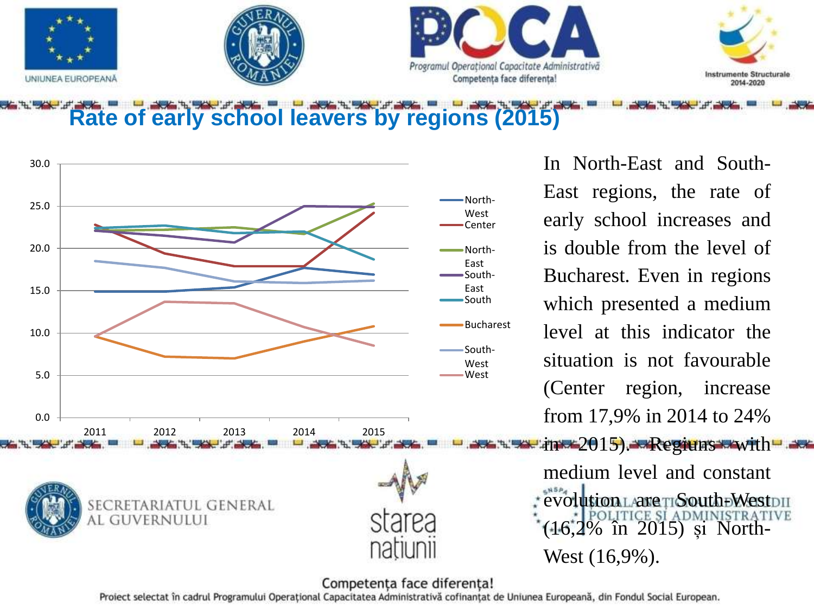

**Rate of early school leavers by regions (2015)**



In North-East and South-East regions, the rate of early school increases and is double from the level of Bucharest. Even in regions which presented a medium level at this indicator the situation is not favourable (Center region, increase from 17,9% in 2014 to 24%

medium level and constant evolution LANGTISouth DWestDII (16,2% în 2015) și North-West (16,9%).

#### Competența face diferența!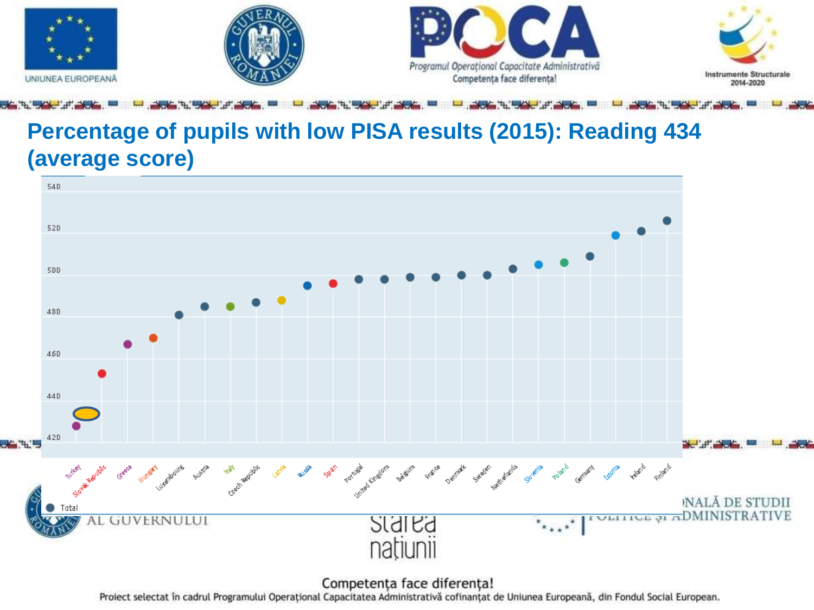

### **Percentage of pupils with low PISA results (2015): Reading 434 (average score)**



Competența face diferența!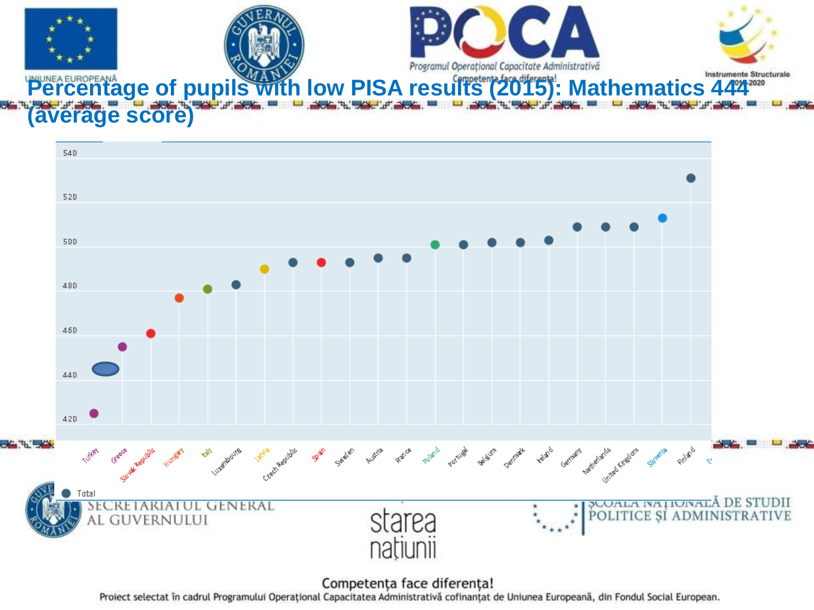



Competența face diferența!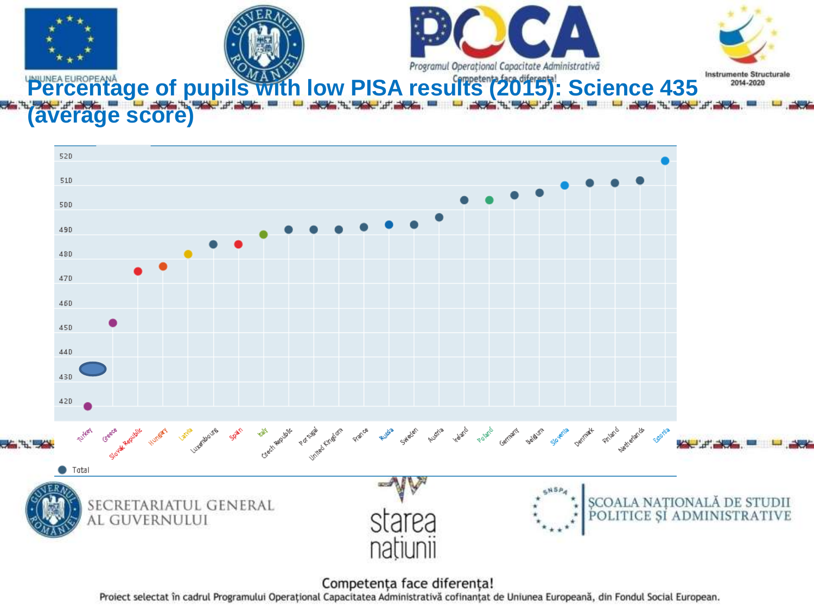

Competența face diferența!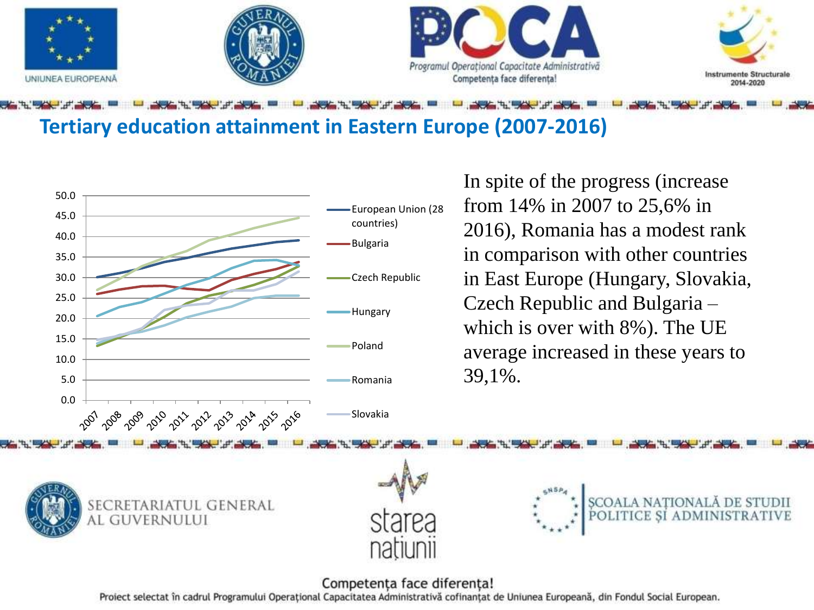

### **Tertiary education attainment in Eastern Europe (2007-2016)**



#### Competența face diferența!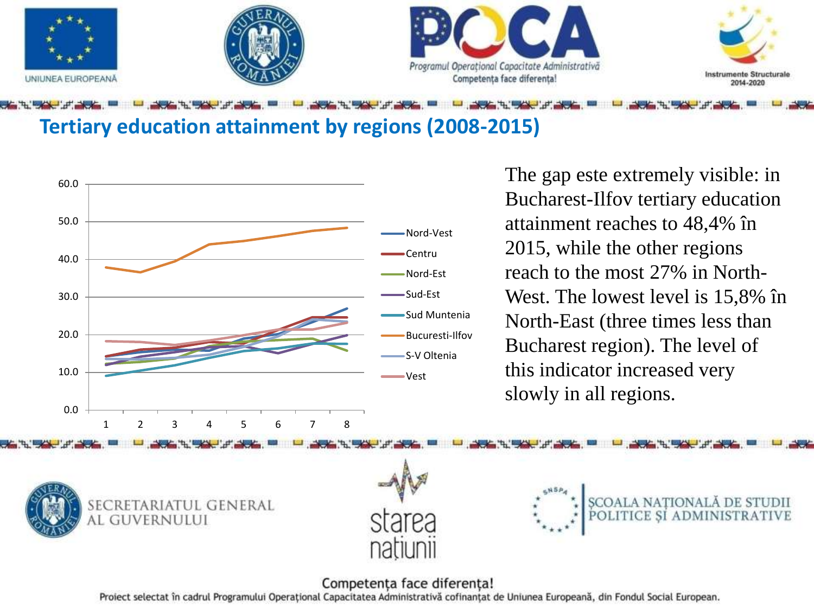

### **Tertiary education attainment by regions (2008-2015)**



The gap este extremely visible: in Bucharest-Ilfov tertiary education attainment reaches to 48,4% în 2015, while the other regions reach to the most 27% in North-West. The lowest level is 15,8% în North-East (three times less than Bucharest region). The level of this indicator increased very slowly in all regions.







#### Competența face diferența!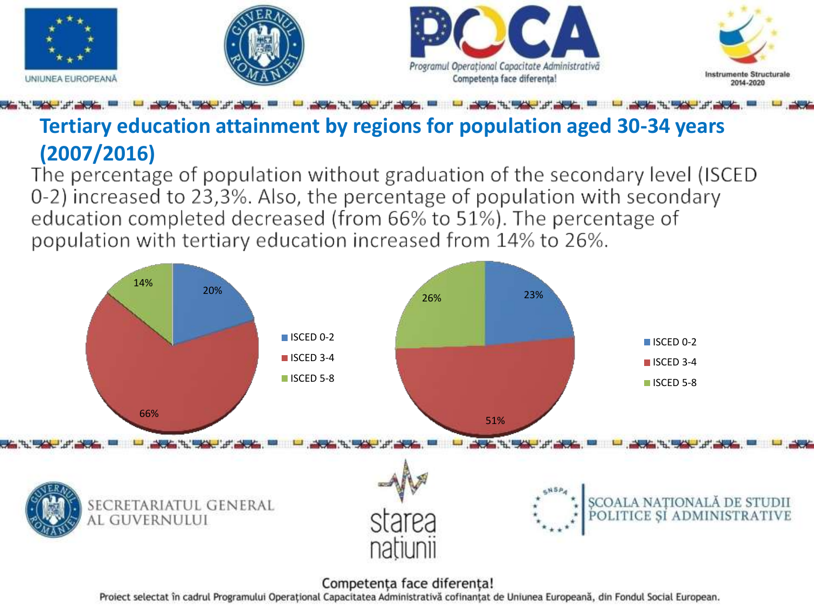

## **Tertiary education attainment by regions for population aged 30-34 years (2007/2016)**<br>The percentage of population without graduation of the secondary level (ISCED

0-2) increased to 23,3%. Also, the percentage of population with secondary education completed decreased (from 66% to 51%). The percentage of population with tertiary education increased from 14% to 26%.



#### Competenta face diferenta!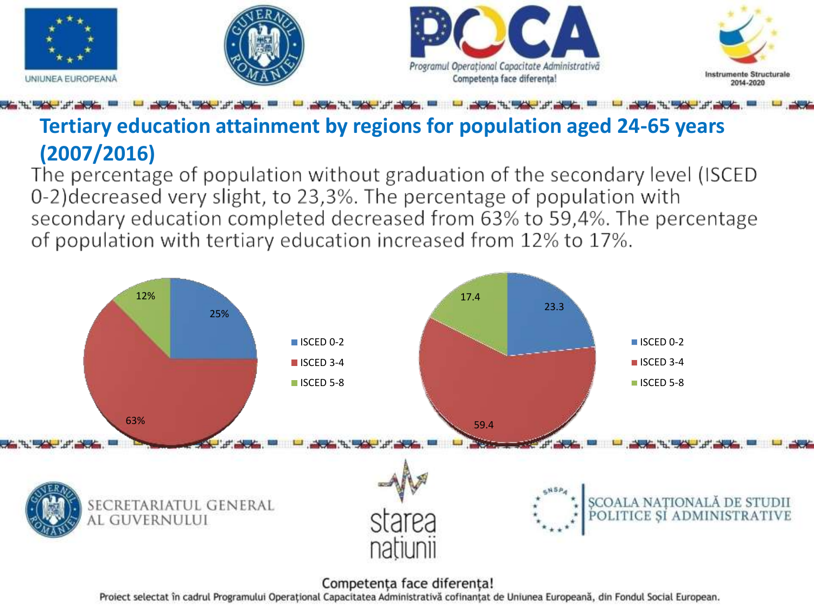

## **Tertiary education attainment by regions for population aged 24-65 years (2007/2016)**<br>The percentage of population without graduation of the secondary level (ISCED

0-2) decreased very slight, to 23,3%. The percentage of population with secondary education completed decreased from 63% to 59,4%. The percentage of population with tertiary education increased from 12% to 17%.



Competenta face diferenta!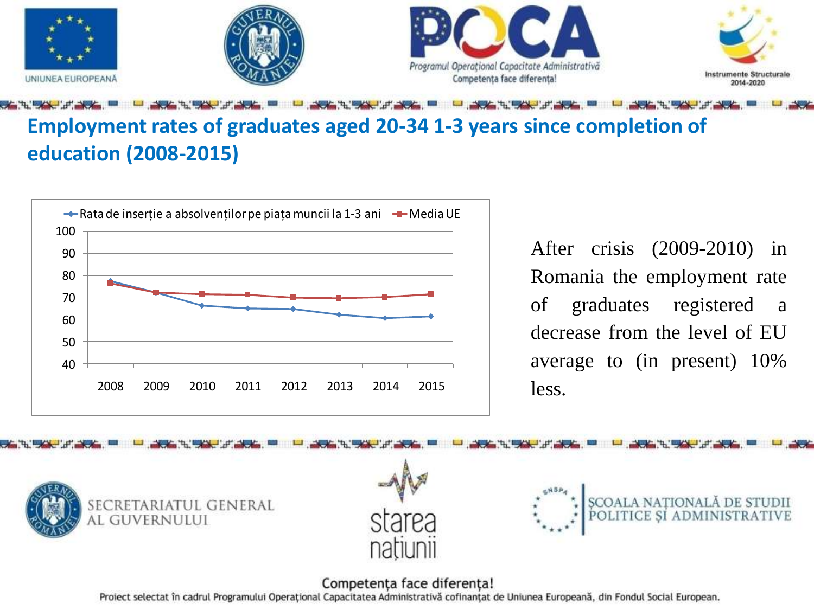

### **Employment rates of graduates aged 20-34 1-3 years since completion of education (2008-2015)**



After crisis (2009-2010) in Romania the employment rate of graduates registered a decrease from the level of EU average to (in present) 10% less.



#### Competența face diferența!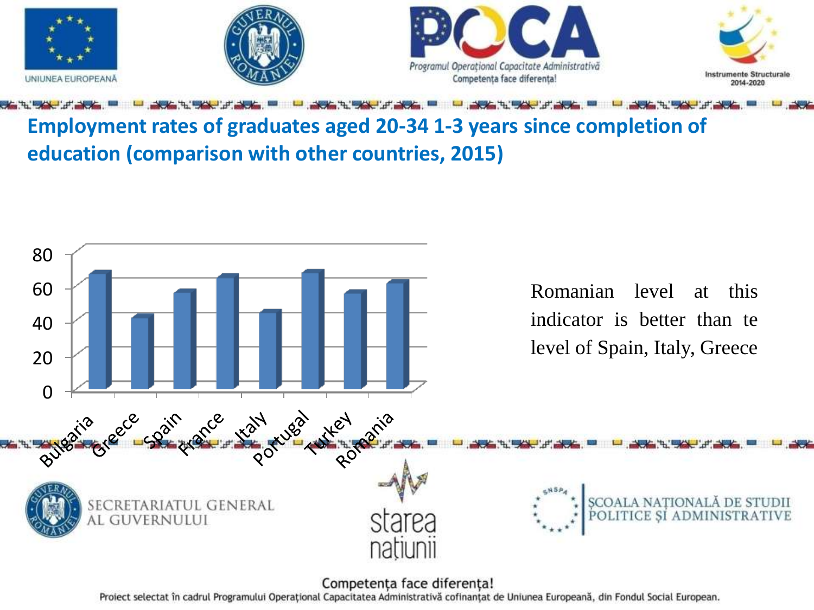

### **Employment rates of graduates aged 20-34 1-3 years since completion of education (comparison with other countries, 2015)**

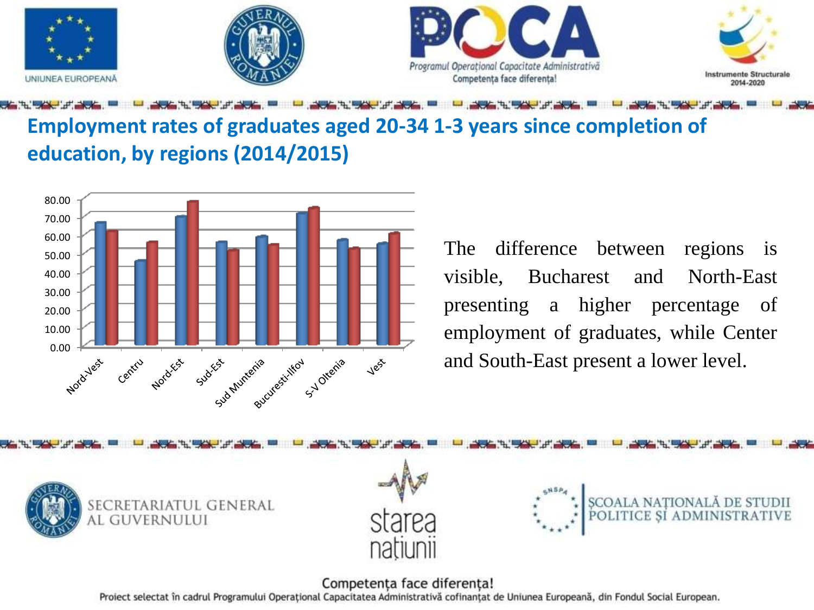

### **Employment rates of graduates aged 20-34 1-3 years since completion of education, by regions (2014/2015)**



The difference between regions is visible, Bucharest and North-East presenting a higher percentage of employment of graduates, while Center and South-East present a lower level.







### Competența face diferența!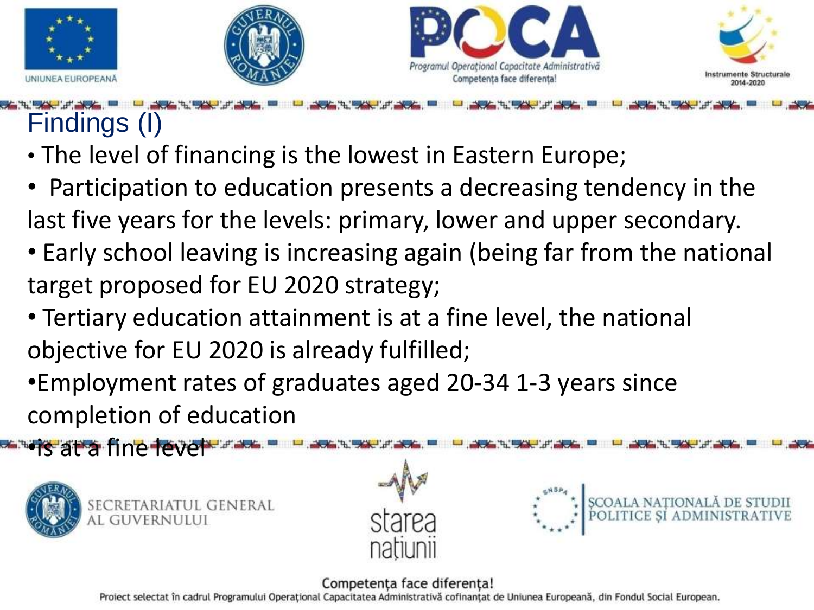







## Findings (I)

- The level of financing is the lowest in Eastern Europe;
- Participation to education presents a decreasing tendency in the last five years for the levels: primary, lower and upper secondary.
- Early school leaving is increasing again (being far from the national target proposed for EU 2020 strategy;
- Tertiary education attainment is at a fine level, the national objective for EU 2020 is already fulfilled;
- •Employment rates of graduates aged 20-34 1-3 years since completion of education



•is at a fine level



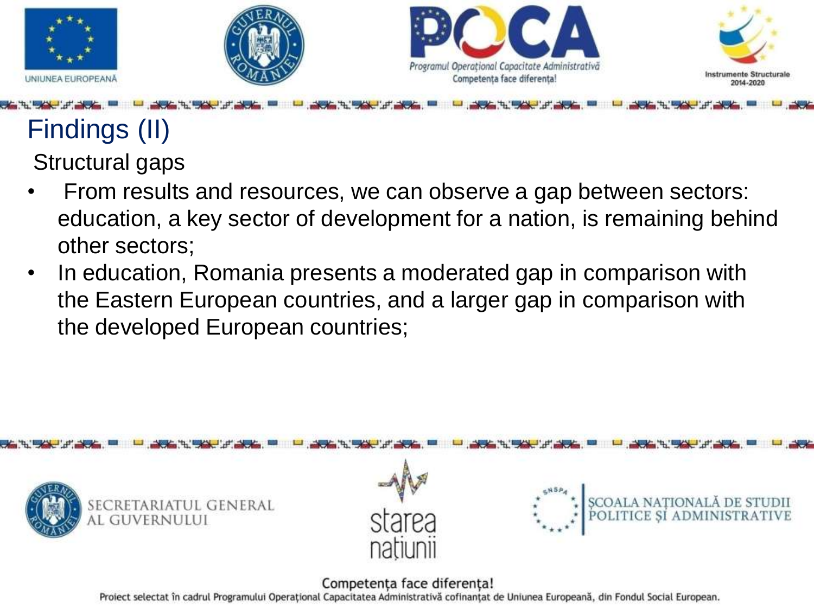







## Findings (II) Structural gaps

- From results and resources, we can observe a gap between sectors: education, a key sector of development for a nation, is remaining behind other sectors;
- In education, Romania presents a moderated gap in comparison with the Eastern European countries, and a larger gap in comparison with the developed European countries;

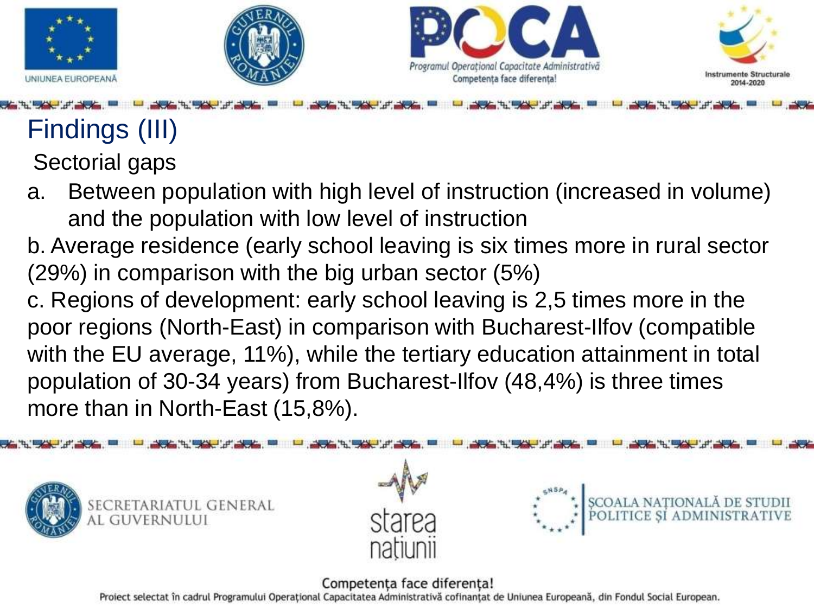







## Findings (III)

Sectorial gaps

- a. Between population with high level of instruction (increased in volume) and the population with low level of instruction
- b. Average residence (early school leaving is six times more in rural sector (29%) in comparison with the big urban sector (5%)
- c. Regions of development: early school leaving is 2,5 times more in the poor regions (North-East) in comparison with Bucharest-Ilfov (compatible with the EU average, 11%), while the tertiary education attainment in total population of 30-34 years) from Bucharest-Ilfov (48,4%) is three times more than in North-East (15,8%).



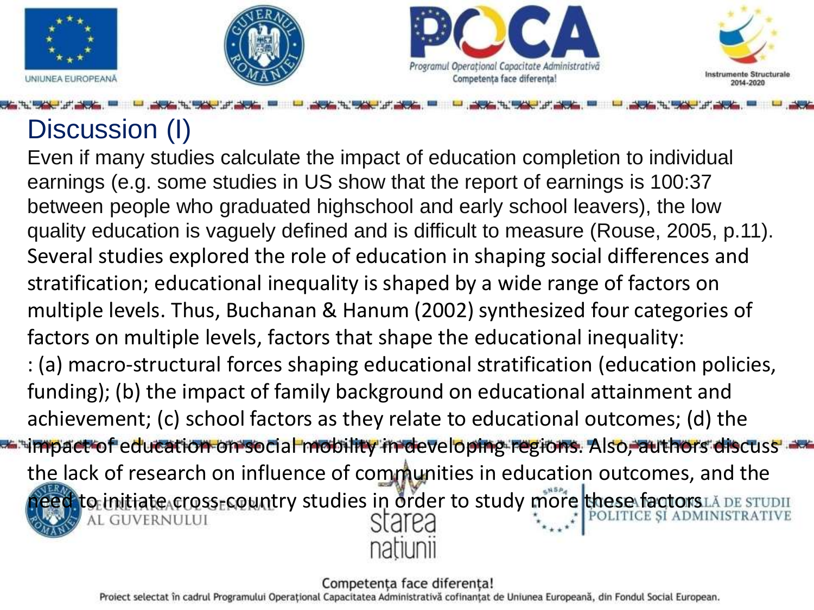







## Discussion (I)

Even if many studies calculate the impact of education completion to individual earnings (e.g. some studies in US show that the report of earnings is 100:37 between people who graduated highschool and early school leavers), the low quality education is vaguely defined and is difficult to measure (Rouse, 2005, p.11). Several studies explored the role of education in shaping social differences and stratification; educational inequality is shaped by a wide range of factors on multiple levels. Thus, Buchanan & Hanum (2002) synthesized four categories of factors on multiple levels, factors that shape the educational inequality: : (a) macro-structural forces shaping educational stratification (education policies, funding); (b) the impact of family background on educational attainment and achievement; (c) school factors as they relate to educational outcomes; (d) the impact of education on social mobility in developing regions. Also, authors discuss the lack of research on influence of communities in education outcomes, and the d to initiate cross-country studies in order to study more these factors LA DE STUDII

#### Competenta face diferenta!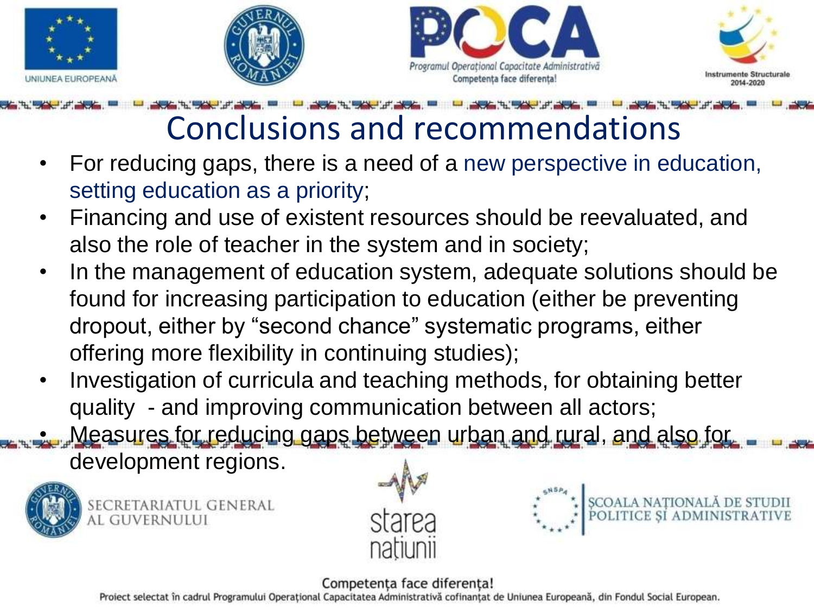







## Conclusions and recommendations

- For reducing gaps, there is a need of a new perspective in education, setting education as a priority;
- Financing and use of existent resources should be reevaluated, and also the role of teacher in the system and in society;
- In the management of education system, adequate solutions should be found for increasing participation to education (either be preventing dropout, either by "second chance" systematic programs, either offering more flexibility in continuing studies);
- Investigation of curricula and teaching methods, for obtaining better quality - and improving communication between all actors;

• Measures for reducing gaps between urban and rural, and also for

development regions.



SECRETARIATUL GENERAL AL GUVERNULUI





Competența face diferența!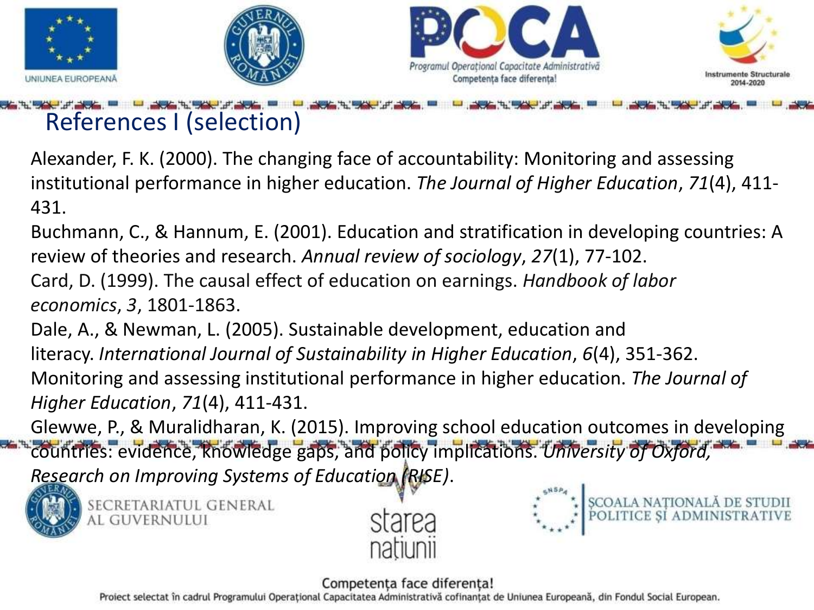

## References I (selection)

Alexander, F. K. (2000). The changing face of accountability: Monitoring and assessing institutional performance in higher education. *The Journal of Higher Education*, *71*(4), 411- 431.

Buchmann, C., & Hannum, E. (2001). Education and stratification in developing countries: A review of theories and research. *Annual review of sociology*, *27*(1), 77-102. Card, D. (1999). The causal effect of education on earnings. *Handbook of labor* 

*economics*, *3*, 1801-1863.

Dale, A., & Newman, L. (2005). Sustainable development, education and literacy. *International Journal of Sustainability in Higher Education*, *6*(4), 351-362. Monitoring and assessing institutional performance in higher education. *The Journal of Higher Education*, *71*(4), 411-431.

Glewwe, P., & Muralidharan, K. (2015). Improving school education outcomes in developing

countries: evidence, knowledge gaps, and policy implications. *University of Oxford, Research on Improving Systems of Education (RISE)*.



SECRETARIATUL GENERAL AL GUVERNULUI





### Competenta face diferenta!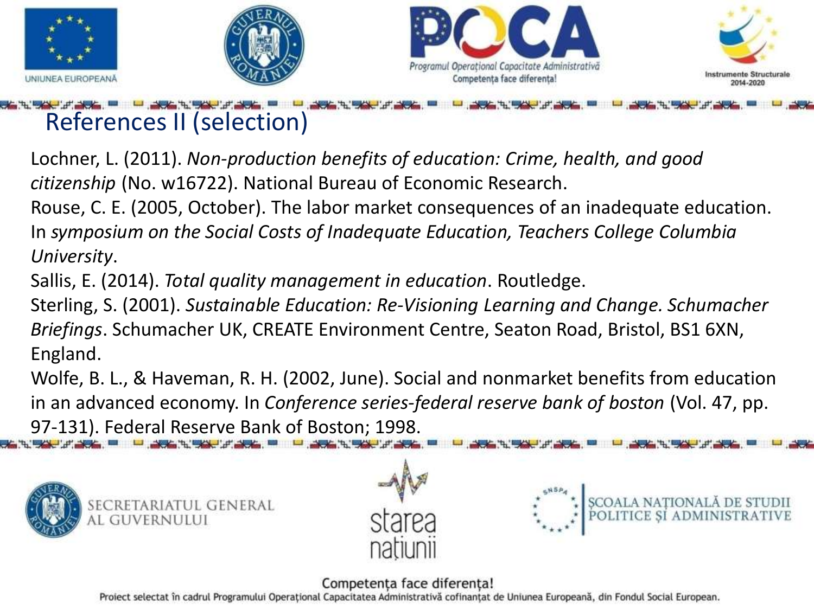

## References II (selection)

Lochner, L. (2011). *Non-production benefits of education: Crime, health, and good citizenship* (No. w16722). National Bureau of Economic Research.

Rouse, C. E. (2005, October). The labor market consequences of an inadequate education. In *symposium on the Social Costs of Inadequate Education, Teachers College Columbia University*.

Sallis, E. (2014). *Total quality management in education*. Routledge.

Sterling, S. (2001). *Sustainable Education: Re-Visioning Learning and Change. Schumacher Briefings*. Schumacher UK, CREATE Environment Centre, Seaton Road, Bristol, BS1 6XN, England.

Wolfe, B. L., & Haveman, R. H. (2002, June). Social and nonmarket benefits from education in an advanced economy. In *Conference series-federal reserve bank of boston* (Vol. 47, pp. 97-131). Federal Reserve Bank of Boston; 1998.







### Competenta face diferenta!